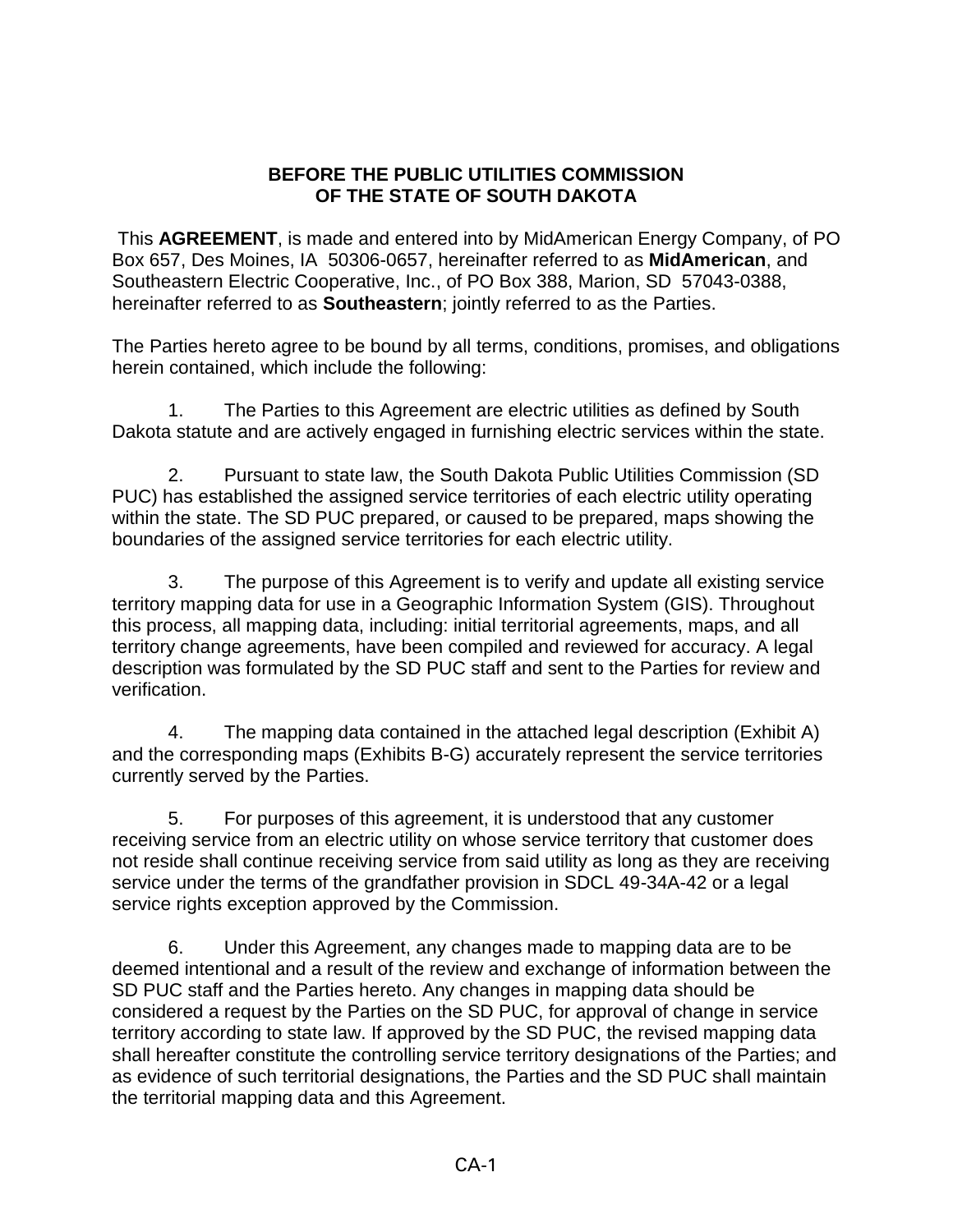## **BEFORE THE PUBLIC UTILITIES COMMISSION OF THE STATE OF SOUTH DAKOTA**

This **AGREEMENT**, is made and entered into by MidAmerican Energy Company, of PO Box 657, Des Moines, IA 50306-0657, hereinafter referred to as **MidAmerican**, and Southeastern Electric Cooperative, Inc., of PO Box 388, Marion, SD 57043-0388, hereinafter referred to as **Southeastern**; jointly referred to as the Parties.

The Parties hereto agree to be bound by all terms, conditions, promises, and obligations herein contained, which include the following:

1. The Parties to this Agreement are electric utilities as defined by South Dakota statute and are actively engaged in furnishing electric services within the state.

2. Pursuant to state law, the South Dakota Public Utilities Commission (SD PUC) has established the assigned service territories of each electric utility operating within the state. The SD PUC prepared, or caused to be prepared, maps showing the boundaries of the assigned service territories for each electric utility.

3. The purpose of this Agreement is to verify and update all existing service territory mapping data for use in a Geographic Information System (GIS). Throughout this process, all mapping data, including: initial territorial agreements, maps, and all territory change agreements, have been compiled and reviewed for accuracy. A legal description was formulated by the SD PUC staff and sent to the Parties for review and verification.

4. The mapping data contained in the attached legal description (Exhibit A) and the corresponding maps (Exhibits B-G) accurately represent the service territories currently served by the Parties.

5. For purposes of this agreement, it is understood that any customer receiving service from an electric utility on whose service territory that customer does not reside shall continue receiving service from said utility as long as they are receiving service under the terms of the grandfather provision in SDCL 49-34A-42 or a legal service rights exception approved by the Commission.

6. Under this Agreement, any changes made to mapping data are to be deemed intentional and a result of the review and exchange of information between the SD PUC staff and the Parties hereto. Any changes in mapping data should be considered a request by the Parties on the SD PUC, for approval of change in service territory according to state law. If approved by the SD PUC, the revised mapping data shall hereafter constitute the controlling service territory designations of the Parties; and as evidence of such territorial designations, the Parties and the SD PUC shall maintain the territorial mapping data and this Agreement.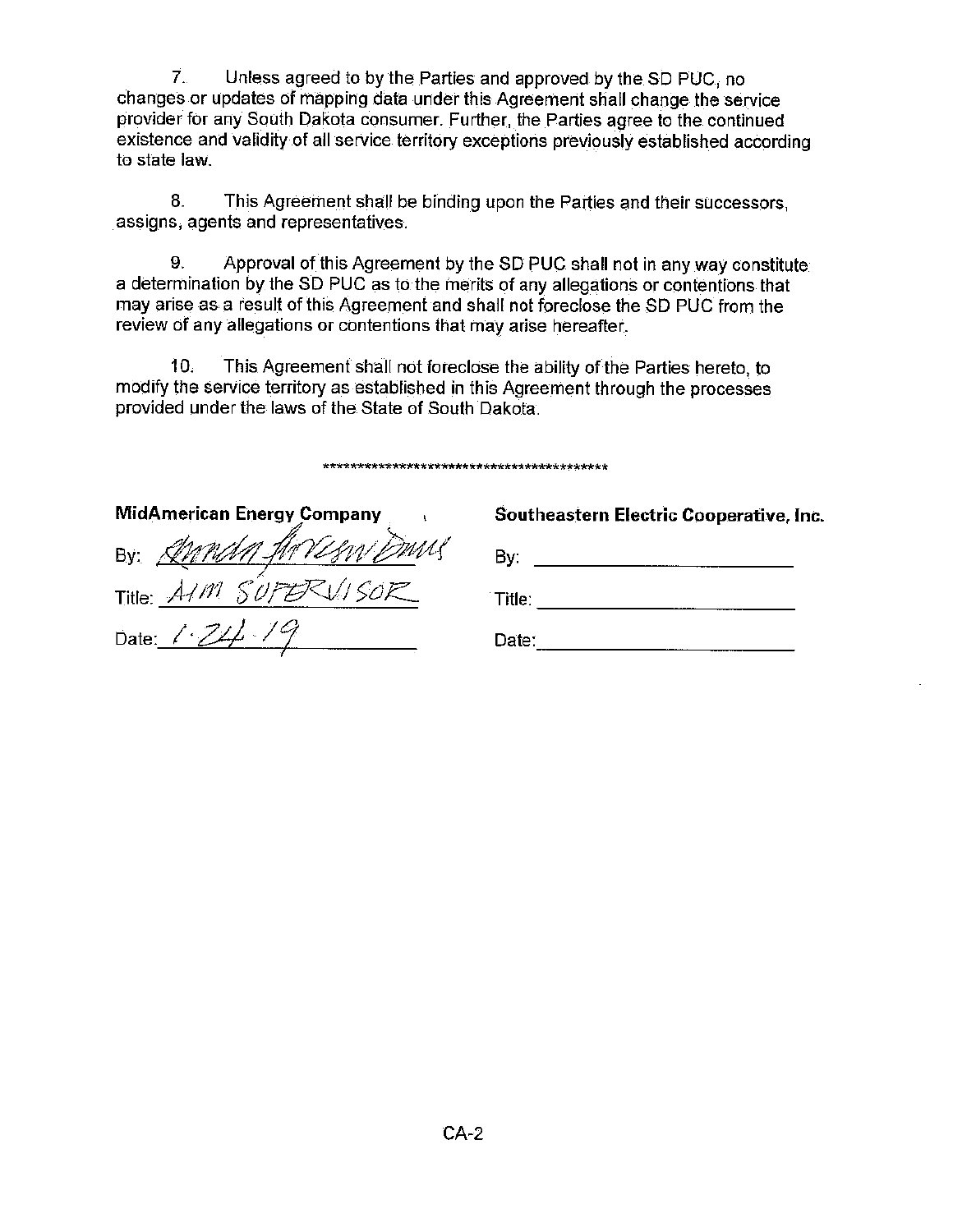7. Unless agreed to by the Parties and approved by the SD PUC, no changes or updates of mapping data under this Agreement shall change the service provider for any South Dakota consumer. Further, the Parties agree to the continued existence and validity of all service territory exceptions previously established according to state law.

 $8<sub>1</sub>$ This Agreement shall be binding upon the Parties and their successors. assigns, agents and representatives.

9. Approval of this Agreement by the SD PUC shall not in any way constitute a determination by the SD PUC as to the merits of any allegations or contentions that may arise as a result of this Agreement and shall not foreclose the SD PUC from the review of any allegations or contentions that may arise hereafter.

10. This Agreement shall not foreclose the ability of the Parties hereto, to modify the service territory as established in this Agreement through the processes provided under the laws of the State of South Dakota.

| <b>MidAmerican Energy Company</b> | Southeastern Electric Cooperative, Inc. |
|-----------------------------------|-----------------------------------------|
| By: Annaly Arresni Duns           | Bv:                                     |
| Title: $AM$ S                     | Title:                                  |
| Date: $1.74.7$                    | Date:                                   |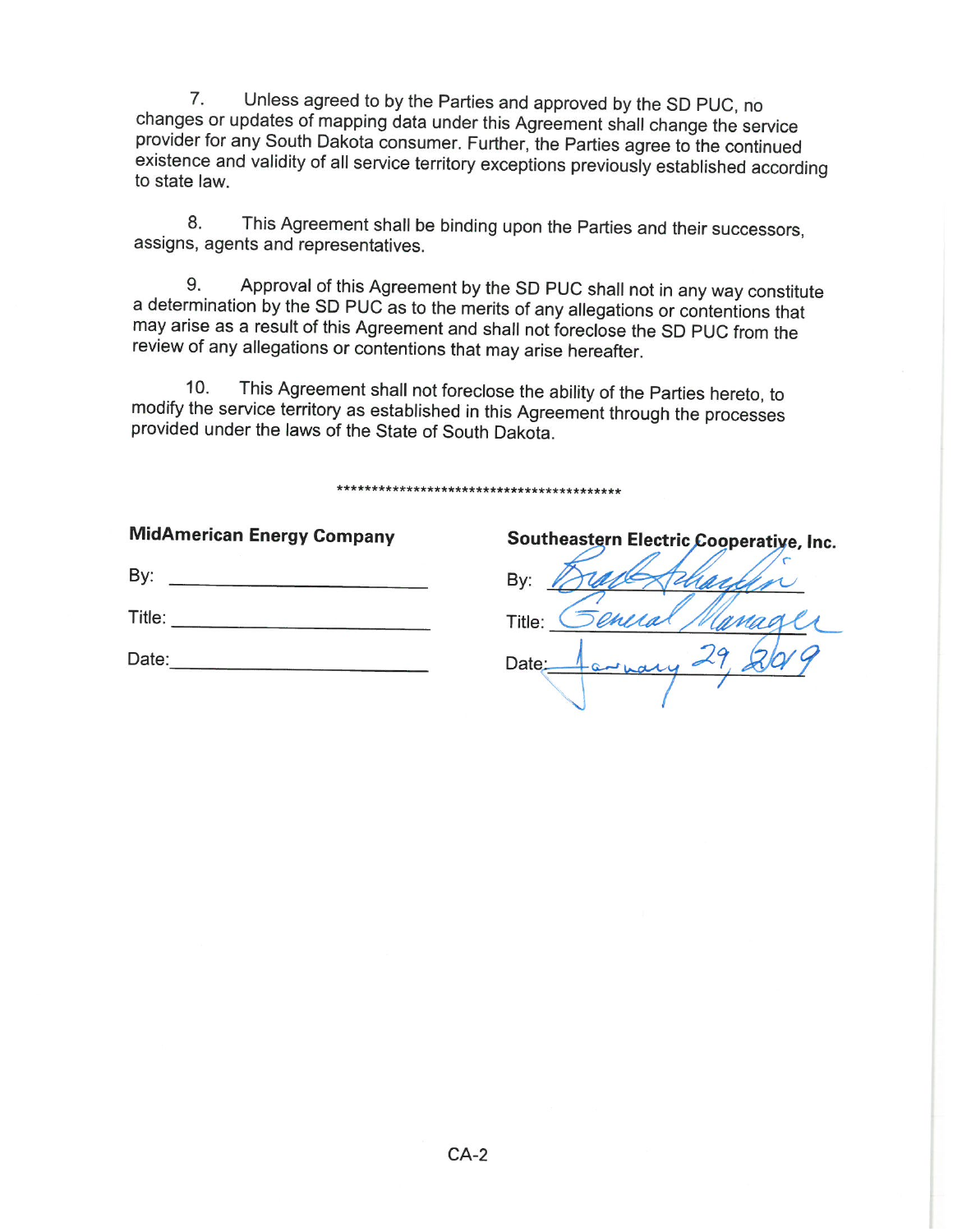$7<sup>1</sup>$ Unless agreed to by the Parties and approved by the SD PUC, no changes or updates of mapping data under this Agreement shall change the service provider for any South Dakota consumer. Further, the Parties agree to the continued existence and validity of all service territory exceptions previously established according to state law.

This Agreement shall be binding upon the Parties and their successors, 8. assigns, agents and representatives.

Approval of this Agreement by the SD PUC shall not in any way constitute 9. a determination by the SD PUC as to the merits of any allegations or contentions that may arise as a result of this Agreement and shall not foreclose the SD PUC from the review of any allegations or contentions that may arise hereafter.

This Agreement shall not foreclose the ability of the Parties hereto, to  $10.$ modify the service territory as established in this Agreement through the processes provided under the laws of the State of South Dakota.

## 

| <b>MidAmerican Energy Company</b> |
|-----------------------------------|
| By:                               |
| Title:                            |
| Date:                             |

Southeastern Electric Cooperative, Inc. By:

Title: Date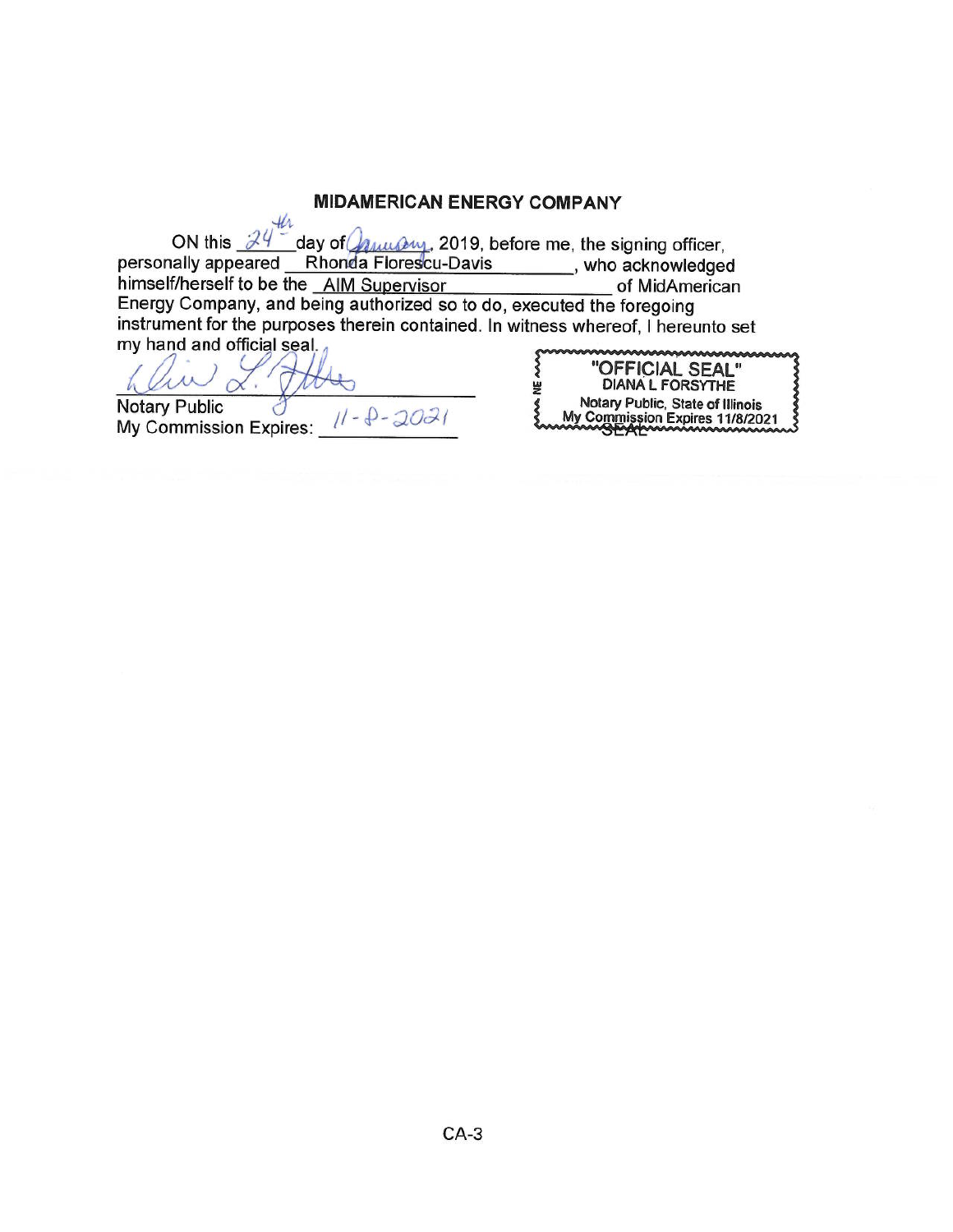## **MIDAMERICAN ENERGY COMPANY**

ON this  $\frac{24}{ }$  day of  $\frac{24}{ }$  day of  $\frac{24}{ }$ , 2019, before me, the signing officer, personally appeared Rhonda Florescu-Davis \_\_\_\_\_\_\_, who acknowledged himself/herself to be the AIM Supervisor of MidAmerican Energy Company, and being authorized so to do, executed the foregoing instrument for the purposes therein contained. In witness whereof, I hereunto set my hand and official seal.

 $\alpha$ . Notary Public My Commission Expires:  $11 - \theta - 2021$ 

|   | "OFFICIAL SEAL"                  |
|---|----------------------------------|
| 붲 | <b>DIANA L FORSYTHE</b>          |
|   | Notary Public, State of Illinois |
|   | My Commission Expires 11/8/2021  |